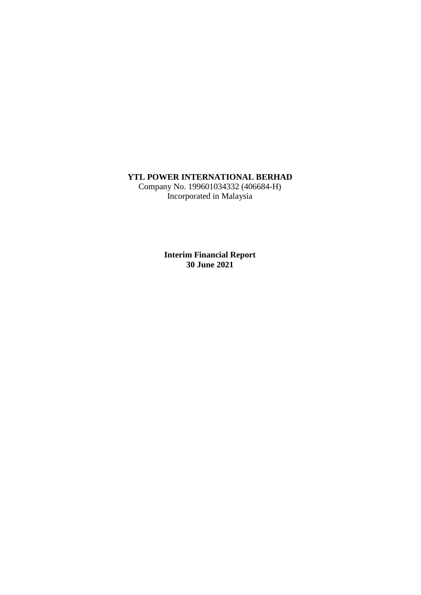# **YTL POWER INTERNATIONAL BERHAD**

Company No. 199601034332 (406684-H) Incorporated in Malaysia

> **Interim Financial Report 30 June 2021**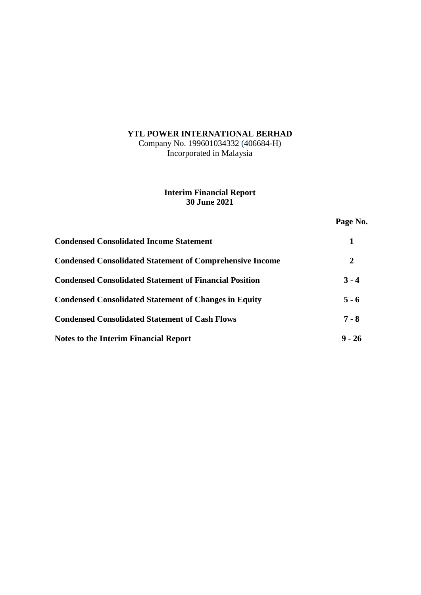# **YTL POWER INTERNATIONAL BERHAD**

Company No. 199601034332 (406684-H) Incorporated in Malaysia

# **Interim Financial Report 30 June 2021**

**Page No.**

| <b>Condensed Consolidated Income Statement</b>                  |         |
|-----------------------------------------------------------------|---------|
| <b>Condensed Consolidated Statement of Comprehensive Income</b> | 2       |
| <b>Condensed Consolidated Statement of Financial Position</b>   | $3 - 4$ |
| <b>Condensed Consolidated Statement of Changes in Equity</b>    | $5 - 6$ |
| <b>Condensed Consolidated Statement of Cash Flows</b>           | $7 - 8$ |
| <b>Notes to the Interim Financial Report</b>                    | $-26$   |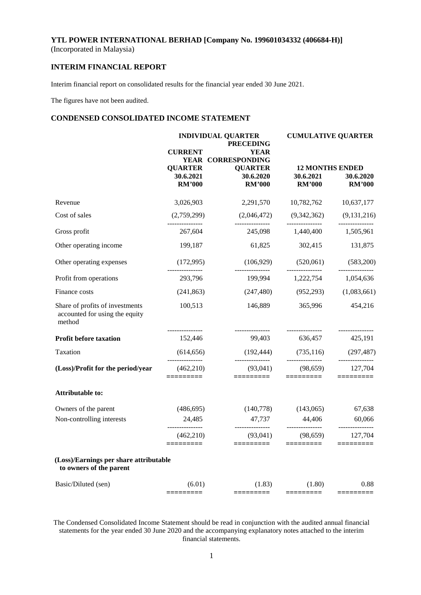### **INTERIM FINANCIAL REPORT**

Interim financial report on consolidated results for the financial year ended 30 June 2021.

The figures have not been audited.

### **CONDENSED CONSOLIDATED INCOME STATEMENT**

|                                                                             | <b>CURRENT</b>                | <b>INDIVIDUAL QUARTER</b><br><b>PRECEDING</b><br><b>YEAR</b> | <b>CUMULATIVE QUARTER</b>                     |                               |  |
|-----------------------------------------------------------------------------|-------------------------------|--------------------------------------------------------------|-----------------------------------------------|-------------------------------|--|
|                                                                             | <b>QUARTER</b>                | YEAR CORRESPONDING<br><b>QUARTER</b>                         | <b>12 MONTHS ENDED</b>                        |                               |  |
|                                                                             | 30.6.2021<br><b>RM'000</b>    | 30.6.2020<br><b>RM'000</b>                                   | 30.6.2021<br><b>RM'000</b>                    | 30.6.2020<br><b>RM'000</b>    |  |
| Revenue                                                                     | 3,026,903                     | 2,291,570                                                    | 10,782,762 10,637,177                         |                               |  |
| Cost of sales                                                               | (2,759,299)                   | (2,046,472)<br>_______________                               | (9,342,362)<br>_______________                | (9,131,216)                   |  |
| Gross profit                                                                | 267,604                       | 245,098                                                      | 1,440,400                                     | 1,505,961                     |  |
| Other operating income                                                      | 199,187                       | 61,825                                                       | 302,415                                       | 131,875                       |  |
| Other operating expenses                                                    | (172,995)                     | (106, 929)                                                   | (520,061)                                     | (583,200)                     |  |
| Profit from operations                                                      | _______________<br>293,796    | ----------------<br>199,994                                  | _______________<br>1,222,754                  | ---------------<br>1,054,636  |  |
| Finance costs                                                               | (241, 863)                    |                                                              | $(247, 480)$ $(952, 293)$                     | (1,083,661)                   |  |
| Share of profits of investments<br>accounted for using the equity<br>method | 100,513                       | 146,889                                                      | 365,996                                       | 454,216                       |  |
| Profit before taxation                                                      | 152,446                       |                                                              | 99,403 636,457 425,191                        |                               |  |
| Taxation                                                                    | (614, 656)<br>_______________ | (192, 444)<br>---------------                                | (735, 116)<br>---------------                 | (297, 487)<br>--------------- |  |
| (Loss)/Profit for the period/year                                           | (462,210)<br>=========        | (93,041)<br>=========                                        | (98, 659)<br>=========                        | 127,704<br>$=$ ========       |  |
| <b>Attributable to:</b>                                                     |                               |                                                              |                                               |                               |  |
| Owners of the parent                                                        | (486, 695)                    | (140,778)                                                    | (143,065)                                     | 67,638                        |  |
| Non-controlling interests                                                   | 24,485                        | 47,737                                                       | 44,406                                        | 60,066                        |  |
|                                                                             | (462, 210)<br>$=$ ========    | (93,041)<br>=========                                        | (98, 659)<br>=========                        | 127,704<br>$=$ ========       |  |
| (Loss)/Earnings per share attributable<br>to owners of the parent           |                               |                                                              |                                               |                               |  |
| Basic/Diluted (sen)                                                         | (6.01)<br>$=$ ========        | (1.83)<br>$=$ $=$ $=$ $=$ $=$ $=$ $=$ $=$ $=$                | (1.80)<br>$=$ $=$ $=$ $=$ $=$ $=$ $=$ $=$ $=$ | 0.88<br>=========             |  |
|                                                                             |                               |                                                              |                                               |                               |  |

The Condensed Consolidated Income Statement should be read in conjunction with the audited annual financial statements for the year ended 30 June 2020 and the accompanying explanatory notes attached to the interim financial statements.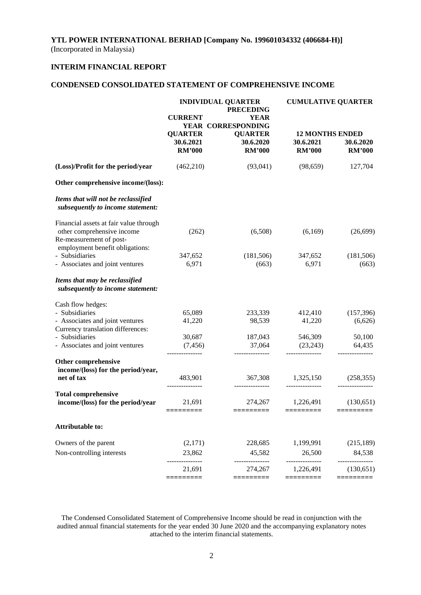# **INTERIM FINANCIAL REPORT**

# **CONDENSED CONSOLIDATED STATEMENT OF COMPREHENSIVE INCOME**

|                                                                                                 | <b>INDIVIDUAL QUARTER</b><br><b>PRECEDING</b> |                                              | <b>CUMULATIVE QUARTER</b>                            |                            |  |
|-------------------------------------------------------------------------------------------------|-----------------------------------------------|----------------------------------------------|------------------------------------------------------|----------------------------|--|
|                                                                                                 | <b>CURRENT</b>                                | <b>YEAR</b><br>YEAR CORRESPONDING            |                                                      |                            |  |
|                                                                                                 | <b>QUARTER</b><br>30.6.2021<br><b>RM'000</b>  | <b>QUARTER</b><br>30.6.2020<br><b>RM'000</b> | <b>12 MONTHS ENDED</b><br>30.6.2021<br><b>RM'000</b> | 30.6.2020<br><b>RM'000</b> |  |
| (Loss)/Profit for the period/year                                                               | (462,210)                                     | (93,041)                                     | (98, 659)                                            | 127,704                    |  |
| Other comprehensive income/(loss):                                                              |                                               |                                              |                                                      |                            |  |
| Items that will not be reclassified<br>subsequently to income statement:                        |                                               |                                              |                                                      |                            |  |
| Financial assets at fair value through<br>other comprehensive income<br>Re-measurement of post- | (262)                                         | (6,508)                                      | (6,169)                                              | (26, 699)                  |  |
| employment benefit obligations:<br>- Subsidiaries<br>- Associates and joint ventures            | 347,652<br>6,971                              | (181,506)<br>(663)                           | 347,652<br>6,971                                     | (181, 506)<br>(663)        |  |
| Items that may be reclassified<br>subsequently to income statement:                             |                                               |                                              |                                                      |                            |  |
| Cash flow hedges:                                                                               |                                               |                                              |                                                      |                            |  |
| - Subsidiaries<br>- Associates and joint ventures<br>Currency translation differences:          | 65,089<br>41,220                              | 233,339<br>98,539                            | 412,410<br>41,220                                    | (157, 396)<br>(6,626)      |  |
| - Subsidiaries<br>- Associates and joint ventures                                               | 30,687<br>(7, 456)                            | 187,043<br>37,064                            | 546,309<br>(23,243)                                  | 50,100<br>64,435           |  |
| Other comprehensive<br>income/(loss) for the period/year,                                       | ---------------                               | ---------------                              | ---------------                                      | ---------------            |  |
| net of tax                                                                                      | 483,901                                       | 367,308                                      | 1,325,150                                            | (258, 355)                 |  |
| <b>Total comprehensive</b><br>income/(loss) for the period/year                                 | 21,691<br>=========                           | 274,267<br>$=$ ========                      | 1,226,491<br>$=$ ========                            | (130,651)<br>=========     |  |
| <b>Attributable to:</b>                                                                         |                                               |                                              |                                                      |                            |  |
| Owners of the parent                                                                            | (2,171)                                       | 228,685                                      | 1,199,991                                            | (215, 189)                 |  |
| Non-controlling interests                                                                       | 23,862                                        | 45,582                                       | 26,500                                               | 84,538                     |  |
|                                                                                                 | 21,691<br>=========                           | 274,267<br>=========                         | 1,226,491<br>=========                               | (130, 651)<br>=========    |  |
|                                                                                                 |                                               |                                              |                                                      |                            |  |

The Condensed Consolidated Statement of Comprehensive Income should be read in conjunction with the audited annual financial statements for the year ended 30 June 2020 and the accompanying explanatory notes attached to the interim financial statements.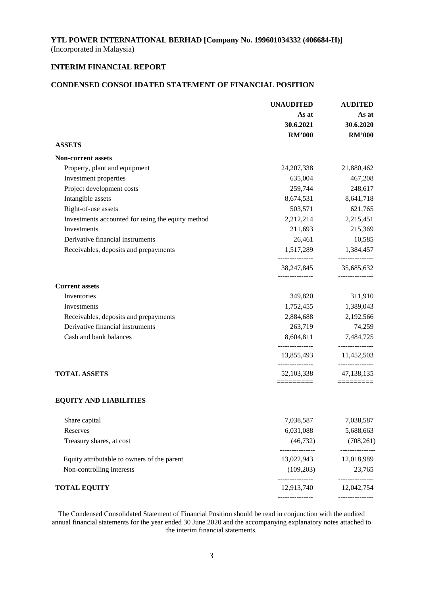# **INTERIM FINANCIAL REPORT**

# **CONDENSED CONSOLIDATED STATEMENT OF FINANCIAL POSITION**

|                                                   | <b>UNAUDITED</b>                                 | <b>AUDITED</b>                             |  |
|---------------------------------------------------|--------------------------------------------------|--------------------------------------------|--|
|                                                   | As at                                            | As at                                      |  |
|                                                   | 30.6.2021                                        | 30.6.2020                                  |  |
|                                                   | <b>RM'000</b>                                    | <b>RM'000</b>                              |  |
| <b>ASSETS</b>                                     |                                                  |                                            |  |
| <b>Non-current assets</b>                         |                                                  |                                            |  |
| Property, plant and equipment                     | 24, 207, 338                                     | 21,880,462                                 |  |
| Investment properties                             | 635,004                                          | 467,208                                    |  |
| Project development costs                         | 259,744                                          | 248,617                                    |  |
| Intangible assets                                 | 8,674,531                                        | 8,641,718                                  |  |
| Right-of-use assets                               | 503,571                                          | 621,765                                    |  |
| Investments accounted for using the equity method | 2,212,214                                        | 2,215,451                                  |  |
| Investments                                       | 211,693                                          | 215,369                                    |  |
| Derivative financial instruments                  | 26,461                                           | 10,585                                     |  |
| Receivables, deposits and prepayments             |                                                  | 1,517,289 1,384,457<br>-------------       |  |
|                                                   | ---------------<br>38,247,845<br>--------------- | 35,685,632                                 |  |
| <b>Current assets</b>                             |                                                  | ---------------                            |  |
| Inventories                                       | 349,820                                          | 311,910                                    |  |
| Investments                                       | 1,752,455                                        | 1,389,043                                  |  |
| Receivables, deposits and prepayments             | 2,884,688                                        | 2,192,566                                  |  |
| Derivative financial instruments                  | 263,719                                          | 74,259                                     |  |
| Cash and bank balances                            | 8,604,811                                        | 7,484,725                                  |  |
|                                                   | 13,855,493                                       | ---------------<br>11,452,503              |  |
| <b>TOTAL ASSETS</b>                               | --------------<br>52,103,338<br>=========        | ---------------<br>47,138,135<br>========= |  |
| <b>EQUITY AND LIABILITIES</b>                     |                                                  |                                            |  |
| Share capital                                     | 7,038,587                                        | 7,038,587                                  |  |
| Reserves                                          | 6,031,088                                        | 5,688,663                                  |  |
| Treasury shares, at cost                          | (46, 732)                                        | (708, 261)                                 |  |
| Equity attributable to owners of the parent       | 13,022,943                                       | -----------<br>12,018,989                  |  |
| Non-controlling interests                         | (109,203)                                        | 23,765<br>-------------                    |  |
| <b>TOTAL EQUITY</b>                               | --------------<br>12,913,740                     | 12,042,754                                 |  |
|                                                   |                                                  | -------------                              |  |

The Condensed Consolidated Statement of Financial Position should be read in conjunction with the audited annual financial statements for the year ended 30 June 2020 and the accompanying explanatory notes attached to the interim financial statements.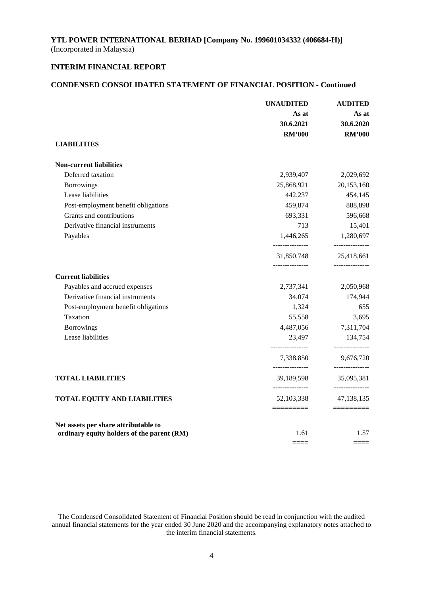### **INTERIM FINANCIAL REPORT**

### **CONDENSED CONSOLIDATED STATEMENT OF FINANCIAL POSITION - Continued**

| As at<br>30.6.2021<br><b>RM'000</b> | As at                                                                                                                                                                                                                                                                                                                  |
|-------------------------------------|------------------------------------------------------------------------------------------------------------------------------------------------------------------------------------------------------------------------------------------------------------------------------------------------------------------------|
|                                     | 30.6.2020                                                                                                                                                                                                                                                                                                              |
|                                     |                                                                                                                                                                                                                                                                                                                        |
|                                     | <b>RM'000</b>                                                                                                                                                                                                                                                                                                          |
|                                     |                                                                                                                                                                                                                                                                                                                        |
|                                     |                                                                                                                                                                                                                                                                                                                        |
|                                     | 2,029,692                                                                                                                                                                                                                                                                                                              |
|                                     | 20,153,160                                                                                                                                                                                                                                                                                                             |
|                                     | 454,145                                                                                                                                                                                                                                                                                                                |
|                                     | 888,898                                                                                                                                                                                                                                                                                                                |
|                                     | 596,668                                                                                                                                                                                                                                                                                                                |
|                                     | 15,401                                                                                                                                                                                                                                                                                                                 |
|                                     | 1,280,697<br>---------------                                                                                                                                                                                                                                                                                           |
|                                     | 25,418,661<br>_______________                                                                                                                                                                                                                                                                                          |
|                                     |                                                                                                                                                                                                                                                                                                                        |
|                                     | 2,050,968                                                                                                                                                                                                                                                                                                              |
|                                     | 174,944                                                                                                                                                                                                                                                                                                                |
|                                     | 655                                                                                                                                                                                                                                                                                                                    |
|                                     | 3,695                                                                                                                                                                                                                                                                                                                  |
|                                     | 7,311,704                                                                                                                                                                                                                                                                                                              |
|                                     | 134,754<br>---------------                                                                                                                                                                                                                                                                                             |
|                                     | 9,676,720                                                                                                                                                                                                                                                                                                              |
|                                     | _______________<br>35,095,381                                                                                                                                                                                                                                                                                          |
|                                     | ---------------<br>47,138,135                                                                                                                                                                                                                                                                                          |
|                                     |                                                                                                                                                                                                                                                                                                                        |
|                                     | 1.57<br>$====$                                                                                                                                                                                                                                                                                                         |
|                                     | 2,939,407<br>25,868,921<br>442,237<br>459,874<br>693,331<br>713<br>1,446,265<br>---------------<br>31,850,748<br>---------------<br>2,737,341<br>34,074<br>1,324<br>55,558<br>4,487,056<br>23,497<br>----------------<br>7,338,850<br>---------------<br>39,189,598<br>---------------<br>52,103,338<br>1.61<br>$====$ |

The Condensed Consolidated Statement of Financial Position should be read in conjunction with the audited annual financial statements for the year ended 30 June 2020 and the accompanying explanatory notes attached to the interim financial statements.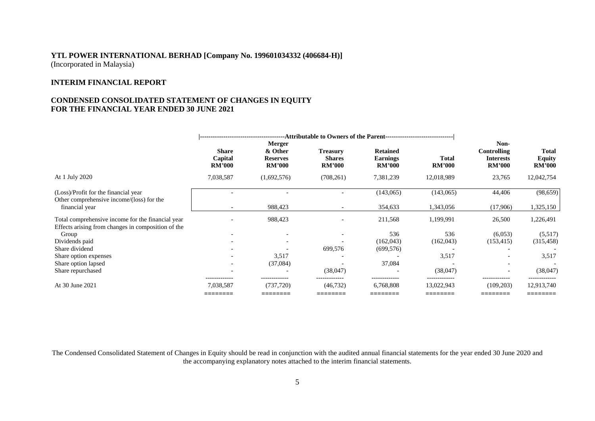### **INTERIM FINANCIAL REPORT**

### **CONDENSED CONSOLIDATED STATEMENT OF CHANGES IN EQUITY FOR THE FINANCIAL YEAR ENDED 30 JUNE 2021**

|                                                                                                         | <b>Share</b><br>Capital<br><b>RM'000</b> | Merger<br>& Other<br><b>Reserves</b><br><b>RM'000</b> | <b>Treasury</b><br><b>Shares</b><br><b>RM'000</b> | <b>Retained</b><br><b>Earnings</b><br><b>RM'000</b> | <b>Total</b><br><b>RM'000</b> | Non-<br><b>Controlling</b><br><b>Interests</b><br><b>RM'000</b> | <b>Total</b><br>Equity<br><b>RM'000</b> |
|---------------------------------------------------------------------------------------------------------|------------------------------------------|-------------------------------------------------------|---------------------------------------------------|-----------------------------------------------------|-------------------------------|-----------------------------------------------------------------|-----------------------------------------|
| At 1 July 2020                                                                                          | 7,038,587                                | (1,692,576)                                           | (708, 261)                                        | 7,381,239                                           | 12,018,989                    | 23,765                                                          | 12,042,754                              |
| (Loss)/Profit for the financial year<br>Other comprehensive income/(loss) for the                       |                                          |                                                       |                                                   | (143,065)                                           | (143,065)                     | 44,406                                                          | (98, 659)                               |
| financial year                                                                                          | $\overline{\phantom{a}}$                 | 988,423                                               |                                                   | 354,633                                             | 1,343,056                     | (17,906)                                                        | 1,325,150                               |
| Total comprehensive income for the financial year<br>Effects arising from changes in composition of the |                                          | 988,423                                               |                                                   | 211,568                                             | 1,199,991                     | 26,500                                                          | 1,226,491                               |
| Group                                                                                                   |                                          | $\overline{\phantom{a}}$                              |                                                   | 536                                                 | 536                           | (6,053)                                                         | (5,517)                                 |
| Dividends paid                                                                                          |                                          |                                                       |                                                   | (162, 043)                                          | (162, 043)                    | (153, 415)                                                      | (315, 458)                              |
| Share dividend                                                                                          |                                          |                                                       | 699,576                                           | (699, 576)                                          |                               |                                                                 |                                         |
| Share option expenses                                                                                   |                                          | 3,517                                                 |                                                   |                                                     | 3,517                         |                                                                 | 3,517                                   |
| Share option lapsed                                                                                     | $\qquad \qquad \blacksquare$             | (37,084)                                              |                                                   | 37,084                                              |                               | $\overline{\phantom{a}}$                                        |                                         |
| Share repurchased                                                                                       |                                          |                                                       | (38,047)                                          |                                                     | (38,047)                      | $\overline{\phantom{a}}$                                        | (38,047)                                |
| At 30 June 2021                                                                                         | 7,038,587<br>________                    | (737, 720)<br>________                                | (46, 732)<br>________                             | 6,768,808<br>________                               | 13,022,943<br>________        | -------------<br>(109, 203)<br>________                         | 12,913,740<br>________                  |
|                                                                                                         |                                          |                                                       |                                                   |                                                     |                               |                                                                 |                                         |

The Condensed Consolidated Statement of Changes in Equity should be read in conjunction with the audited annual financial statements for the year ended 30 June 2020 and the accompanying explanatory notes attached to the interim financial statements.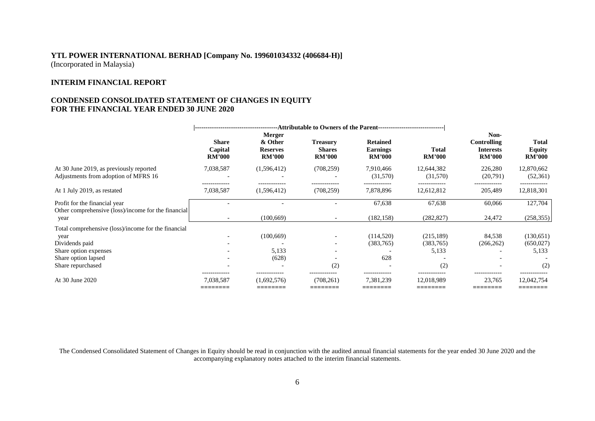# **INTERIM FINANCIAL REPORT**

### **CONDENSED CONSOLIDATED STATEMENT OF CHANGES IN EQUITY FOR THE FINANCIAL YEAR ENDED 30 JUNE 2020**

|                                                                                                                                                    | <b>Share</b><br>Capital<br><b>RM'000</b> | Merger<br>& Other<br><b>Reserves</b><br><b>RM'000</b> | <b>Treasury</b><br><b>Shares</b><br><b>RM'000</b> | <b>Retained</b><br><b>Earnings</b><br><b>RM'000</b> | Total<br><b>RM'000</b>                   | Non-<br>Controlling<br><b>Interests</b><br><b>RM'000</b> | <b>Total</b><br><b>Equity</b><br><b>RM'000</b> |
|----------------------------------------------------------------------------------------------------------------------------------------------------|------------------------------------------|-------------------------------------------------------|---------------------------------------------------|-----------------------------------------------------|------------------------------------------|----------------------------------------------------------|------------------------------------------------|
| At 30 June 2019, as previously reported<br>Adjustments from adoption of MFRS 16                                                                    | 7,038,587<br>------------                | (1,596,412)                                           | (708, 259)<br>-------------                       | 7,910,466<br>(31,570)                               | 12,644,382<br>(31,570)                   | 226,280<br>(20,791)                                      | 12,870,662<br>(52, 361)                        |
| At 1 July 2019, as restated                                                                                                                        | 7,038,587                                | (1,596,412)                                           | (708, 259)                                        | 7,878,896                                           | 12,612,812                               | 205,489                                                  | 12,818,301                                     |
| Profit for the financial year<br>Other comprehensive (loss)/income for the financial<br>year                                                       | $\overline{\phantom{0}}$                 | (100, 669)                                            |                                                   | 67,638<br>(182, 158)                                | 67,638<br>(282, 827)                     | 60,066<br>24,472                                         | 127,704<br>(258, 355)                          |
| Total comprehensive (loss)/income for the financial<br>year<br>Dividends paid<br>Share option expenses<br>Share option lapsed<br>Share repurchased |                                          | (100, 669)<br>5,133<br>(628)                          | (2)                                               | (114,520)<br>(383, 765)<br>628                      | (215, 189)<br>(383, 765)<br>5,133<br>(2) | 84,538<br>(266, 262)                                     | (130,651)<br>(650, 027)<br>5,133<br>(2)        |
| At 30 June 2020                                                                                                                                    | 7,038,587<br>________                    | (1,692,576)<br>________                               | -------------<br>(708,261)<br>________            | 7,381,239<br>________                               | 12,018,989<br>________                   | 23,765<br>________                                       | 12,042,754<br>---------                        |

The Condensed Consolidated Statement of Changes in Equity should be read in conjunction with the audited annual financial statements for the year ended 30 June 2020 and the accompanying explanatory notes attached to the interim financial statements.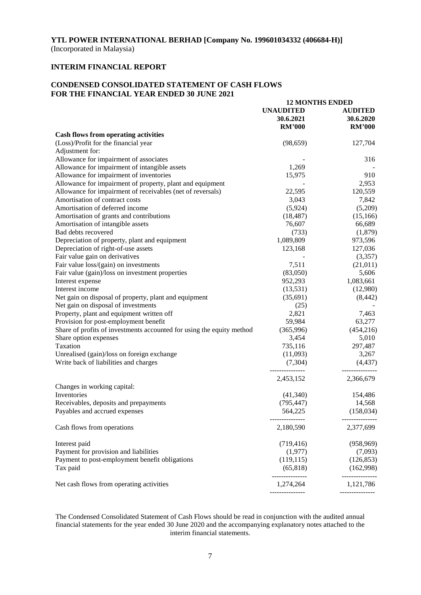# **INTERIM FINANCIAL REPORT**

### **CONDENSED CONSOLIDATED STATEMENT OF CASH FLOWS FOR THE FINANCIAL YEAR ENDED 30 JUNE 2021**

|                                                                       | <b>12 MONTHS ENDED</b>                         |                                              |
|-----------------------------------------------------------------------|------------------------------------------------|----------------------------------------------|
|                                                                       | <b>UNAUDITED</b><br>30.6.2021<br><b>RM'000</b> | <b>AUDITED</b><br>30.6.2020<br><b>RM'000</b> |
| <b>Cash flows from operating activities</b>                           |                                                |                                              |
| (Loss)/Profit for the financial year                                  | (98, 659)                                      | 127,704                                      |
| Adjustment for:                                                       |                                                |                                              |
| Allowance for impairment of associates                                |                                                | 316                                          |
| Allowance for impairment of intangible assets                         | 1,269                                          |                                              |
| Allowance for impairment of inventories                               | 15,975                                         | 910                                          |
| Allowance for impairment of property, plant and equipment             |                                                | 2,953                                        |
| Allowance for impairment of receivables (net of reversals)            | 22,595                                         | 120,559                                      |
| Amortisation of contract costs                                        | 3,043                                          | 7,842                                        |
| Amortisation of deferred income                                       | (5,924)                                        | (5,209)                                      |
| Amortisation of grants and contributions                              | (18, 487)                                      | (15,166)                                     |
| Amortisation of intangible assets                                     | 76,607                                         | 66,689                                       |
| Bad debts recovered                                                   | (733)                                          | (1,879)                                      |
| Depreciation of property, plant and equipment                         | 1,089,809                                      | 973,596                                      |
| Depreciation of right-of-use assets                                   | 123,168                                        | 127,036                                      |
| Fair value gain on derivatives                                        |                                                | (3,357)                                      |
| Fair value loss/(gain) on investments                                 | 7,511                                          | (21, 011)                                    |
| Fair value (gain)/loss on investment properties                       | (83,050)                                       | 5,606                                        |
| Interest expense                                                      | 952,293                                        | 1,083,661                                    |
| Interest income                                                       | (13,531)                                       | (12,980)                                     |
| Net gain on disposal of property, plant and equipment                 | (35,691)                                       | (8, 442)                                     |
| Net gain on disposal of investments                                   | (25)                                           |                                              |
| Property, plant and equipment written off                             | 2,821                                          | 7,463                                        |
| Provision for post-employment benefit                                 | 59,984                                         | 63,277                                       |
| Share of profits of investments accounted for using the equity method | (365,996)                                      | (454, 216)                                   |
| Share option expenses                                                 | 3,454                                          | 5,010                                        |
| Taxation                                                              | 735,116                                        | 297,487                                      |
| Unrealised (gain)/loss on foreign exchange                            | (11,093)                                       | 3,267                                        |
| Write back of liabilities and charges                                 | (7,304)                                        | (4, 437)                                     |
|                                                                       | 2,453,152                                      | 2,366,679                                    |
| Changes in working capital:                                           |                                                |                                              |
| Inventories                                                           | (41,340)                                       | 154,486                                      |
| Receivables, deposits and prepayments                                 | (795, 447)                                     | 14,568                                       |
| Payables and accrued expenses                                         | 564,225<br>---------------                     | (158, 034)<br>---------------                |
| Cash flows from operations                                            | 2,180,590                                      | 2,377,699                                    |
| Interest paid                                                         | (719, 416)                                     | (958, 969)                                   |
| Payment for provision and liabilities                                 | (1,977)                                        | (7,093)                                      |
| Payment to post-employment benefit obligations                        | (119, 115)                                     | (126, 853)                                   |
| Tax paid                                                              | (65, 818)                                      | (162,998)                                    |
| Net cash flows from operating activities                              | 1,274,264<br>---------------                   | 1,121,786<br>---------------                 |
|                                                                       |                                                |                                              |

The Condensed Consolidated Statement of Cash Flows should be read in conjunction with the audited annual financial statements for the year ended 30 June 2020 and the accompanying explanatory notes attached to the interim financial statements.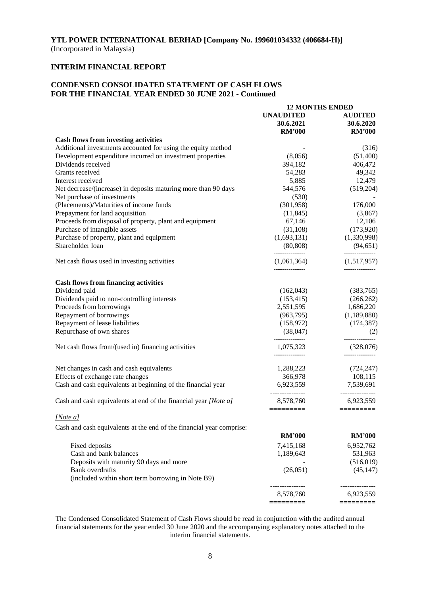### **INTERIM FINANCIAL REPORT**

### **CONDENSED CONSOLIDATED STATEMENT OF CASH FLOWS FOR THE FINANCIAL YEAR ENDED 30 JUNE 2021 - Continued**

|                                                                             | <b>12 MONTHS ENDED</b>       |                           |
|-----------------------------------------------------------------------------|------------------------------|---------------------------|
|                                                                             | <b>UNAUDITED</b>             | <b>AUDITED</b>            |
|                                                                             | 30.6.2021                    | 30.6.2020                 |
|                                                                             | <b>RM'000</b>                | <b>RM'000</b>             |
| <b>Cash flows from investing activities</b>                                 |                              |                           |
| Additional investments accounted for using the equity method                |                              | (316)                     |
| Development expenditure incurred on investment properties                   | (8,056)                      | (51, 400)                 |
| Dividends received                                                          | 394,182                      | 406,472                   |
|                                                                             |                              |                           |
| Grants received                                                             | 54,283                       | 49,342                    |
| Interest received                                                           | 5,885                        | 12,479                    |
| Net decrease/(increase) in deposits maturing more than 90 days              | 544,576                      | (519,204)                 |
| Net purchase of investments                                                 | (530)                        |                           |
| (Placements)/Maturities of income funds                                     | (301, 958)                   | 176,000                   |
| Prepayment for land acquisition                                             | (11, 845)                    | (3,867)                   |
| Proceeds from disposal of property, plant and equipment                     | 67,146                       | 12,106                    |
| Purchase of intangible assets                                               | (31, 108)                    | (173,920)                 |
| Purchase of property, plant and equipment                                   | (1,693,131)                  | (1,330,998)               |
| Shareholder loan                                                            | (80, 808)                    | (94, 651)                 |
| Net cash flows used in investing activities                                 | (1,061,364)                  | (1,517,957)               |
|                                                                             | ---------------              |                           |
| <b>Cash flows from financing activities</b>                                 |                              |                           |
| Dividend paid                                                               | (162, 043)                   | (383,765)                 |
| Dividends paid to non-controlling interests                                 | (153, 415)                   | (266, 262)                |
| Proceeds from borrowings                                                    | 2,551,595                    | 1,686,220                 |
| Repayment of borrowings                                                     | (963,795)                    | (1,189,880)               |
| Repayment of lease liabilities                                              | (158,972)                    | (174, 387)                |
| Repurchase of own shares                                                    | (38,047)                     | (2)                       |
| Net cash flows from/(used in) financing activities                          | 1,075,323<br>--------------- | (328,076)<br>------------ |
| Net changes in cash and cash equivalents                                    | 1,288,223                    | (724, 247)                |
| Effects of exchange rate changes                                            | 366,978                      | 108,115                   |
|                                                                             |                              | 7,539,691                 |
| Cash and cash equivalents at beginning of the financial year                | 6,923,559<br>--------------- | -------------             |
| Cash and cash equivalents at end of the financial year [Note a]             | 8,578,760<br>=========       | 6,923,559<br>=========    |
| [Note a]                                                                    |                              |                           |
| Cash and cash equivalents at the end of the financial year comprise:        |                              |                           |
|                                                                             | <b>RM'000</b>                | <b>RM'000</b>             |
| Fixed deposits                                                              | 7,415,168                    | 6,952,762                 |
| Cash and bank balances                                                      |                              |                           |
|                                                                             | 1,189,643                    | 531,963                   |
| Deposits with maturity 90 days and more                                     |                              | (516, 019)                |
| <b>Bank</b> overdrafts<br>(included within short term borrowing in Note B9) | (26, 051)                    | (45, 147)                 |
|                                                                             |                              |                           |
|                                                                             | 8,578,760                    | 6,923,559                 |
|                                                                             |                              |                           |

The Condensed Consolidated Statement of Cash Flows should be read in conjunction with the audited annual financial statements for the year ended 30 June 2020 and the accompanying explanatory notes attached to the interim financial statements.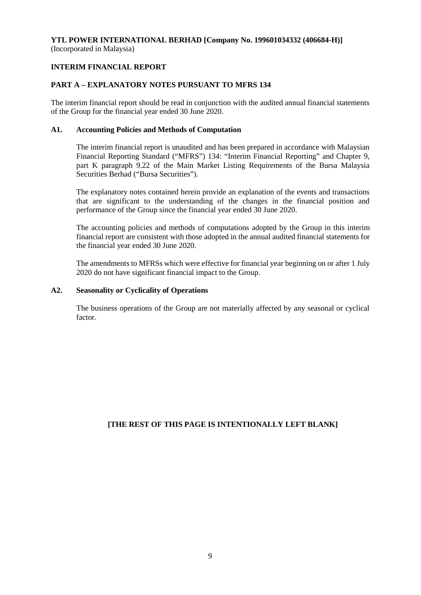## **INTERIM FINANCIAL REPORT**

### **PART A – EXPLANATORY NOTES PURSUANT TO MFRS 134**

The interim financial report should be read in conjunction with the audited annual financial statements of the Group for the financial year ended 30 June 2020.

### **A1. Accounting Policies and Methods of Computation**

The interim financial report is unaudited and has been prepared in accordance with Malaysian Financial Reporting Standard ("MFRS") 134: "Interim Financial Reporting" and Chapter 9, part K paragraph 9.22 of the Main Market Listing Requirements of the Bursa Malaysia Securities Berhad ("Bursa Securities").

The explanatory notes contained herein provide an explanation of the events and transactions that are significant to the understanding of the changes in the financial position and performance of the Group since the financial year ended 30 June 2020.

The accounting policies and methods of computations adopted by the Group in this interim financial report are consistent with those adopted in the annual audited financial statements for the financial year ended 30 June 2020.

The amendments to MFRSs which were effective for financial year beginning on or after 1 July 2020 do not have significant financial impact to the Group.

### **A2. Seasonality or Cyclicality of Operations**

The business operations of the Group are not materially affected by any seasonal or cyclical factor.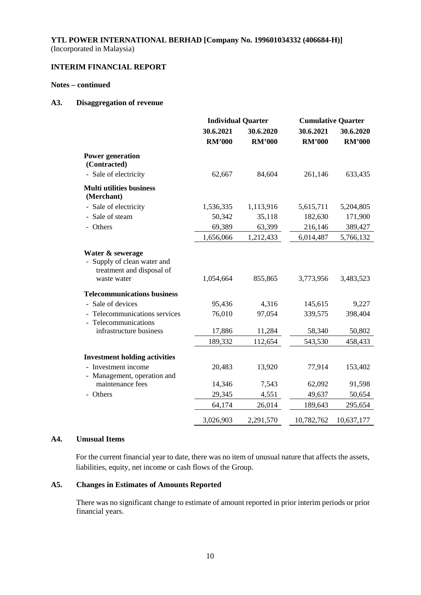# **INTERIM FINANCIAL REPORT**

### **Notes – continued**

### **A3. Disaggregation of revenue**

|                                                                                           | <b>Individual Quarter</b>  |                            | <b>Cumulative Quarter</b>  |                            |  |
|-------------------------------------------------------------------------------------------|----------------------------|----------------------------|----------------------------|----------------------------|--|
|                                                                                           | 30.6.2021<br><b>RM'000</b> | 30.6.2020<br><b>RM'000</b> | 30.6.2021<br><b>RM'000</b> | 30.6.2020<br><b>RM'000</b> |  |
| <b>Power generation</b><br>(Contracted)                                                   |                            |                            |                            |                            |  |
| - Sale of electricity                                                                     | 62,667                     | 84,604                     | 261,146                    | 633,435                    |  |
| <b>Multi utilities business</b><br>(Merchant)                                             |                            |                            |                            |                            |  |
| - Sale of electricity                                                                     | 1,536,335                  | 1,113,916                  | 5,615,711                  | 5,204,805                  |  |
| - Sale of steam                                                                           | 50,342                     | 35,118                     | 182,630                    | 171,900                    |  |
| - Others                                                                                  | 69,389                     | 63,399                     | 216,146                    | 389,427                    |  |
|                                                                                           | 1,656,066                  | 1,212,433                  | 6,014,487                  | 5,766,132                  |  |
| Water & sewerage<br>Supply of clean water and<br>treatment and disposal of<br>waste water | 1,054,664                  | 855,865                    | 3,773,956                  | 3,483,523                  |  |
| <b>Telecommunications business</b>                                                        |                            |                            |                            |                            |  |
| - Sale of devices                                                                         | 95,436                     | 4,316                      | 145,615                    | 9,227                      |  |
| - Telecommunications services<br>- Telecommunications                                     | 76,010                     | 97,054                     | 339,575                    | 398,404                    |  |
| infrastructure business                                                                   | 17,886                     | 11,284                     | 58,340                     | 50,802                     |  |
|                                                                                           | 189,332                    | 112,654                    | 543,530                    | 458,433                    |  |
| <b>Investment holding activities</b>                                                      |                            |                            |                            |                            |  |
| - Investment income<br>- Management, operation and                                        | 20,483                     | 13,920                     | 77,914                     | 153,402                    |  |
| maintenance fees                                                                          | 14,346                     | 7,543                      | 62,092                     | 91,598                     |  |
| - Others                                                                                  | 29,345                     | 4,551                      | 49,637                     | 50,654                     |  |
|                                                                                           | 64,174                     | 26,014                     | 189,643                    | 295,654                    |  |
|                                                                                           | 3,026,903                  | 2,291,570                  | 10,782,762                 | 10,637,177                 |  |

### **A4. Unusual Items**

For the current financial year to date, there was no item of unusual nature that affects the assets, liabilities, equity, net income or cash flows of the Group.

### **A5. Changes in Estimates of Amounts Reported**

There was no significant change to estimate of amount reported in prior interim periods or prior financial years.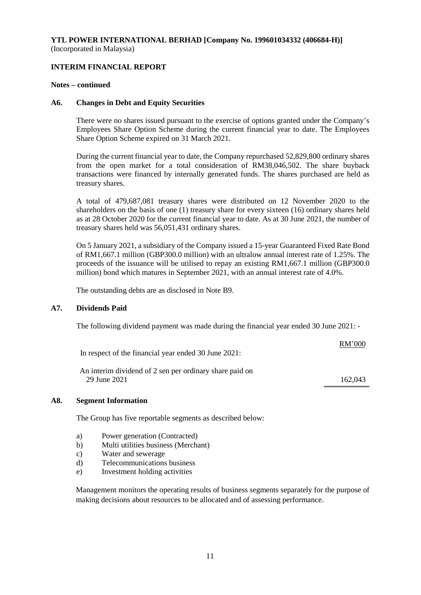### **INTERIM FINANCIAL REPORT**

#### **Notes – continued**

#### **A6. Changes in Debt and Equity Securities**

There were no shares issued pursuant to the exercise of options granted under the Company's Employees Share Option Scheme during the current financial year to date. The Employees Share Option Scheme expired on 31 March 2021.

During the current financial year to date, the Company repurchased 52,829,800 ordinary shares from the open market for a total consideration of RM38,046,502. The share buyback transactions were financed by internally generated funds. The shares purchased are held as treasury shares.

A total of 479,687,081 treasury shares were distributed on 12 November 2020 to the shareholders on the basis of one (1) treasury share for every sixteen (16) ordinary shares held as at 28 October 2020 for the current financial year to date. As at 30 June 2021, the number of treasury shares held was 56,051,431 ordinary shares.

On 5 January 2021, a subsidiary of the Company issued a 15-year Guaranteed Fixed Rate Bond of RM1,667.1 million (GBP300.0 million) with an ultralow annual interest rate of 1.25%. The proceeds of the issuance will be utilised to repay an existing RM1,667.1 million (GBP300.0 million) bond which matures in September 2021, with an annual interest rate of 4.0%.

The outstanding debts are as disclosed in Note B9.

### **A7. Dividends Paid**

The following dividend payment was made during the financial year ended 30 June 2021: -

In respect of the financial year ended 30 June 2021:

An interim dividend of 2 sen per ordinary share paid on 29 June 2021 162,043

RM'000

#### **A8. Segment Information**

The Group has five reportable segments as described below:

- a) Power generation (Contracted)
- b) Multi utilities business (Merchant)
- c) Water and sewerage
- d) Telecommunications business
- e) Investment holding activities

Management monitors the operating results of business segments separately for the purpose of making decisions about resources to be allocated and of assessing performance.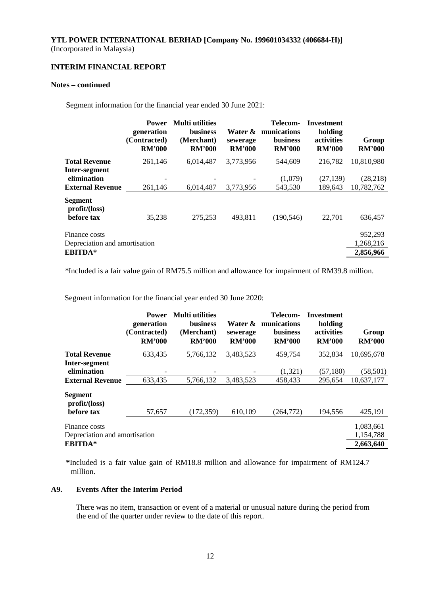### **INTERIM FINANCIAL REPORT**

#### **Notes – continued**

Segment information for the financial year ended 30 June 2021:

|                                                | <b>Power</b><br>generation<br>(Contracted)<br><b>RM'000</b> | <b>Multi</b> utilities<br><b>business</b><br>(Merchant)<br><b>RM'000</b> | Water &<br>sewerage<br><b>RM'000</b> | Telecom-<br>munications<br><b>business</b><br><b>RM'000</b> | Investment<br>holding<br>activities<br><b>RM'000</b> | Group<br><b>RM'000</b> |
|------------------------------------------------|-------------------------------------------------------------|--------------------------------------------------------------------------|--------------------------------------|-------------------------------------------------------------|------------------------------------------------------|------------------------|
| <b>Total Revenue</b>                           | 261,146                                                     | 6,014,487                                                                | 3,773,956                            | 544,609                                                     | 216,782                                              | 10,810,980             |
| Inter-segment<br>elimination                   |                                                             |                                                                          |                                      | (1,079)                                                     | (27, 139)                                            | (28, 218)              |
| <b>External Revenue</b>                        | 261,146                                                     | 6.014.487                                                                | 3,773,956                            | 543,530                                                     | 189.643                                              | 10,782,762             |
| Segment<br>profit/loss)                        |                                                             |                                                                          |                                      |                                                             |                                                      |                        |
| before tax                                     | 35,238                                                      | 275,253                                                                  | 493,811                              | (190, 546)                                                  | 22,701                                               | 636,457                |
| Finance costs<br>Depreciation and amortisation |                                                             |                                                                          |                                      |                                                             |                                                      | 952,293<br>1,268,216   |
| <b>EBITDA*</b>                                 |                                                             |                                                                          |                                      |                                                             |                                                      | 2,856,966              |

*\**Included is a fair value gain of RM75.5 million and allowance for impairment of RM39.8 million.

Segment information for the financial year ended 30 June 2020:

|                                                | <b>Power</b><br>generation<br>(Contracted)<br><b>RM'000</b> | <b>Multi</b> utilities<br>business<br>(Merchant)<br><b>RM'000</b> | Water &<br>sewerage<br><b>RM'000</b> | Telecom-<br>munications<br><b>business</b><br><b>RM'000</b> | Investment<br>holding<br>activities<br><b>RM'000</b> | Group<br><b>RM'000</b> |
|------------------------------------------------|-------------------------------------------------------------|-------------------------------------------------------------------|--------------------------------------|-------------------------------------------------------------|------------------------------------------------------|------------------------|
| <b>Total Revenue</b>                           | 633,435                                                     | 5,766,132                                                         | 3,483,523                            | 459,754                                                     | 352,834                                              | 10,695,678             |
| Inter-segment<br>elimination                   |                                                             |                                                                   |                                      | (1,321)                                                     | (57, 180)                                            | (58, 501)              |
| <b>External Revenue</b>                        | 633,435                                                     | 5,766,132                                                         | 3,483,523                            | 458,433                                                     | 295.654                                              | 10,637,177             |
| <b>Segment</b><br>profit/loss)                 |                                                             |                                                                   |                                      |                                                             |                                                      |                        |
| before tax                                     | 57,657                                                      | (172, 359)                                                        | 610,109                              | (264, 772)                                                  | 194,556                                              | 425,191                |
| Finance costs<br>Depreciation and amortisation |                                                             |                                                                   |                                      |                                                             |                                                      | 1,083,661<br>1,154,788 |
| <b>EBITDA*</b>                                 |                                                             |                                                                   |                                      |                                                             |                                                      | 2,663,640              |

**\***Included is a fair value gain of RM18.8 million and allowance for impairment of RM124.7 million.

#### **A9. Events After the Interim Period**

There was no item, transaction or event of a material or unusual nature during the period from the end of the quarter under review to the date of this report.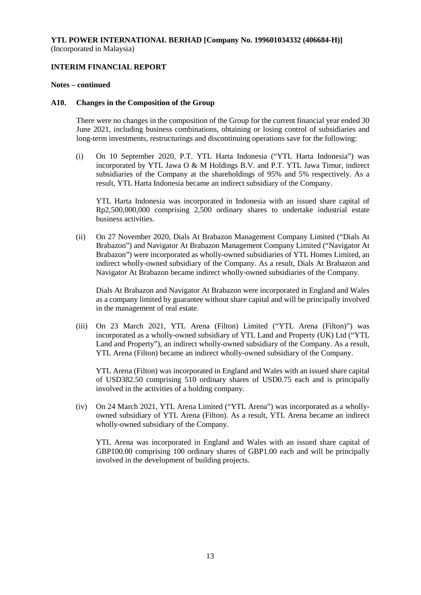### **INTERIM FINANCIAL REPORT**

#### **Notes – continued**

#### **A10. Changes in the Composition of the Group**

There were no changes in the composition of the Group for the current financial year ended 30 June 2021, including business combinations, obtaining or losing control of subsidiaries and long-term investments, restructurings and discontinuing operations save for the following:

(i) On 10 September 2020, P.T. YTL Harta Indonesia ("YTL Harta Indonesia") was incorporated by YTL Jawa O & M Holdings B.V. and P.T. YTL Jawa Timur, indirect subsidiaries of the Company at the shareholdings of 95% and 5% respectively. As a result, YTL Harta Indonesia became an indirect subsidiary of the Company.

YTL Harta Indonesia was incorporated in Indonesia with an issued share capital of Rp2,500,000,000 comprising 2,500 ordinary shares to undertake industrial estate business activities.

(ii) On 27 November 2020, Dials At Brabazon Management Company Limited ("Dials At Brabazon") and Navigator At Brabazon Management Company Limited ("Navigator At Brabazon") were incorporated as wholly-owned subsidiaries of YTL Homes Limited, an indirect wholly-owned subsidiary of the Company. As a result, Dials At Brabazon and Navigator At Brabazon became indirect wholly-owned subsidiaries of the Company.

Dials At Brabazon and Navigator At Brabazon were incorporated in England and Wales as a company limited by guarantee without share capital and will be principally involved in the management of real estate.

(iii) On 23 March 2021, YTL Arena (Filton) Limited ("YTL Arena (Filton)") was incorporated as a wholly-owned subsidiary of YTL Land and Property (UK) Ltd ("YTL Land and Property"), an indirect wholly-owned subsidiary of the Company. As a result, YTL Arena (Filton) became an indirect wholly-owned subsidiary of the Company.

YTL Arena (Filton) was incorporated in England and Wales with an issued share capital of USD382.50 comprising 510 ordinary shares of USD0.75 each and is principally involved in the activities of a holding company.

(iv) On 24 March 2021, YTL Arena Limited ("YTL Arena") was incorporated as a whollyowned subsidiary of YTL Arena (Filton). As a result, YTL Arena became an indirect wholly-owned subsidiary of the Company.

YTL Arena was incorporated in England and Wales with an issued share capital of GBP100.00 comprising 100 ordinary shares of GBP1.00 each and will be principally involved in the development of building projects.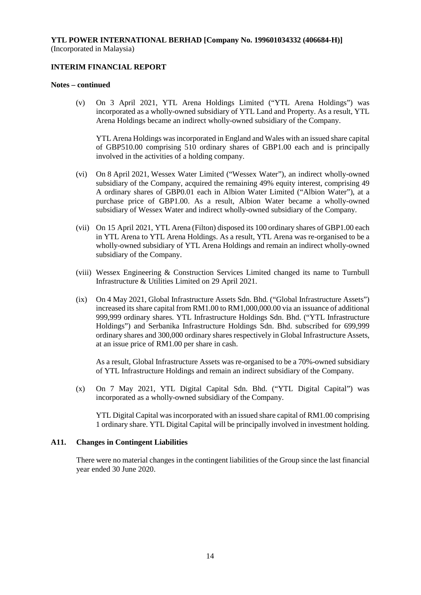### **INTERIM FINANCIAL REPORT**

#### **Notes – continued**

(v) On 3 April 2021, YTL Arena Holdings Limited ("YTL Arena Holdings") was incorporated as a wholly-owned subsidiary of YTL Land and Property. As a result, YTL Arena Holdings became an indirect wholly-owned subsidiary of the Company.

YTL Arena Holdings was incorporated in England and Wales with an issued share capital of GBP510.00 comprising 510 ordinary shares of GBP1.00 each and is principally involved in the activities of a holding company.

- (vi) On 8 April 2021, Wessex Water Limited ("Wessex Water"), an indirect wholly-owned subsidiary of the Company, acquired the remaining 49% equity interest, comprising 49 A ordinary shares of GBP0.01 each in Albion Water Limited ("Albion Water"), at a purchase price of GBP1.00. As a result, Albion Water became a wholly-owned subsidiary of Wessex Water and indirect wholly-owned subsidiary of the Company.
- (vii) On 15 April 2021, YTL Arena (Filton) disposed its 100 ordinary shares of GBP1.00 each in YTL Arena to YTL Arena Holdings. As a result, YTL Arena was re-organised to be a wholly-owned subsidiary of YTL Arena Holdings and remain an indirect wholly-owned subsidiary of the Company.
- (viii) Wessex Engineering & Construction Services Limited changed its name to Turnbull Infrastructure & Utilities Limited on 29 April 2021.
- (ix) On 4 May 2021, Global Infrastructure Assets Sdn. Bhd. ("Global Infrastructure Assets") increased its share capital from RM1.00 to RM1,000,000.00 via an issuance of additional 999,999 ordinary shares. YTL Infrastructure Holdings Sdn. Bhd. ("YTL Infrastructure Holdings") and Serbanika Infrastructure Holdings Sdn. Bhd. subscribed for 699,999 ordinary shares and 300,000 ordinary shares respectively in Global Infrastructure Assets, at an issue price of RM1.00 per share in cash.

As a result, Global Infrastructure Assets was re-organised to be a 70%-owned subsidiary of YTL Infrastructure Holdings and remain an indirect subsidiary of the Company.

(x) On 7 May 2021, YTL Digital Capital Sdn. Bhd. ("YTL Digital Capital") was incorporated as a wholly-owned subsidiary of the Company.

YTL Digital Capital was incorporated with an issued share capital of RM1.00 comprising 1 ordinary share. YTL Digital Capital will be principally involved in investment holding.

#### **A11. Changes in Contingent Liabilities**

There were no material changes in the contingent liabilities of the Group since the last financial year ended 30 June 2020.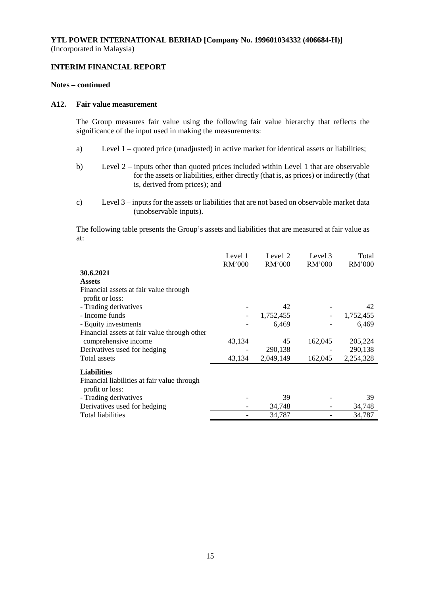### **INTERIM FINANCIAL REPORT**

#### **Notes – continued**

### **A12. Fair value measurement**

The Group measures fair value using the following fair value hierarchy that reflects the significance of the input used in making the measurements:

- a) Level 1 quoted price (unadjusted) in active market for identical assets or liabilities;
- b) Level 2 inputs other than quoted prices included within Level 1 that are observable for the assets or liabilities, either directly (that is, as prices) or indirectly (that is, derived from prices); and
- c) Level 3 inputs for the assets or liabilities that are not based on observable market data (unobservable inputs).

The following table presents the Group's assets and liabilities that are measured at fair value as at:

|                                              | Level 1<br><b>RM'000</b> | Level 2<br>RM'000 | Level 3<br><b>RM'000</b> | Total<br>RM'000 |
|----------------------------------------------|--------------------------|-------------------|--------------------------|-----------------|
| 30.6.2021                                    |                          |                   |                          |                 |
| <b>Assets</b>                                |                          |                   |                          |                 |
| Financial assets at fair value through       |                          |                   |                          |                 |
| profit or loss:                              |                          |                   |                          |                 |
| - Trading derivatives                        |                          | 42                |                          | 42              |
| - Income funds                               |                          | 1,752,455         |                          | 1,752,455       |
| - Equity investments                         |                          | 6,469             |                          | 6,469           |
| Financial assets at fair value through other |                          |                   |                          |                 |
| comprehensive income                         | 43,134                   | 45                | 162,045                  | 205,224         |
| Derivatives used for hedging                 |                          | 290,138           |                          | 290,138         |
| Total assets                                 | 43,134                   | 2,049,149         | 162,045                  | 2,254,328       |
| <b>Liabilities</b>                           |                          |                   |                          |                 |
| Financial liabilities at fair value through  |                          |                   |                          |                 |
| profit or loss:                              |                          |                   |                          |                 |
| - Trading derivatives                        |                          | 39                |                          | 39              |
| Derivatives used for hedging                 |                          | 34,748            |                          | 34,748          |
| <b>Total liabilities</b>                     |                          | 34,787            |                          | 34,787          |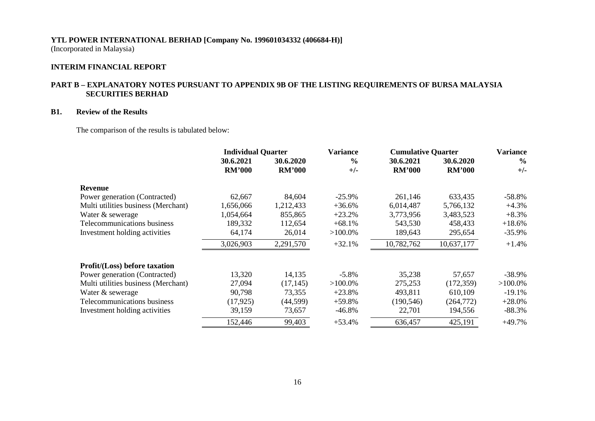# **INTERIM FINANCIAL REPORT**

### **PART B – EXPLANATORY NOTES PURSUANT TO APPENDIX 9B OF THE LISTING REQUIREMENTS OF BURSA MALAYSIA SECURITIES BERHAD**

### **B1. Review of the Results**

The comparison of the results is tabulated below:

|                                      | <b>Individual Quarter</b>  |                            | <b>Variance</b>        | <b>Cumulative Quarter</b>  |                            | <b>Variance</b>        |
|--------------------------------------|----------------------------|----------------------------|------------------------|----------------------------|----------------------------|------------------------|
|                                      | 30.6.2021<br><b>RM'000</b> | 30.6.2020<br><b>RM'000</b> | $\frac{0}{0}$<br>$+/-$ | 30.6.2021<br><b>RM'000</b> | 30.6.2020<br><b>RM'000</b> | $\frac{6}{6}$<br>$+/-$ |
| Revenue                              |                            |                            |                        |                            |                            |                        |
| Power generation (Contracted)        | 62,667                     | 84,604                     | $-25.9%$               | 261,146                    | 633,435                    | $-58.8\%$              |
| Multi utilities business (Merchant)  | 1,656,066                  | 1,212,433                  | $+36.6%$               | 6,014,487                  | 5,766,132                  | $+4.3%$                |
| Water & sewerage                     | 1,054,664                  | 855,865                    | $+23.2%$               | 3,773,956                  | 3,483,523                  | $+8.3%$                |
| Telecommunications business          | 189,332                    | 112,654                    | $+68.1%$               | 543,530                    | 458,433                    | $+18.6%$               |
| Investment holding activities        | 64,174                     | 26,014                     | $>100.0\%$             | 189,643                    | 295,654                    | $-35.9\%$              |
|                                      | 3,026,903                  | 2,291,570                  | $+32.1%$               | 10,782,762                 | 10,637,177                 | $+1.4%$                |
| <b>Profit/(Loss)</b> before taxation |                            |                            |                        |                            |                            |                        |
| Power generation (Contracted)        | 13,320                     | 14,135                     | $-5.8\%$               | 35,238                     | 57,657                     | $-38.9\%$              |
| Multi utilities business (Merchant)  | 27,094                     | (17, 145)                  | $>100.0\%$             | 275,253                    | (172, 359)                 | $>100.0\%$             |
| Water & sewerage                     | 90,798                     | 73,355                     | $+23.8%$               | 493,811                    | 610,109                    | $-19.1%$               |
| Telecommunications business          | (17, 925)                  | (44, 599)                  | $+59.8%$               | (190, 546)                 | (264, 772)                 | $+28.0%$               |
| Investment holding activities        | 39,159                     | 73,657                     | $-46.8%$               | 22,701                     | 194,556                    | $-88.3%$               |
|                                      | 152,446                    | 99,403                     | $+53.4%$               | 636,457                    | 425,191                    | $+49.7%$               |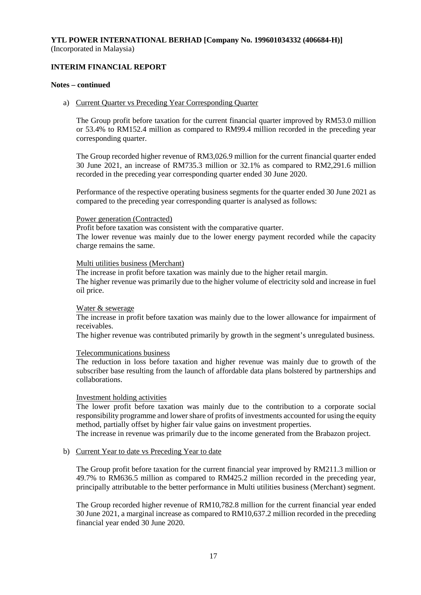### **INTERIM FINANCIAL REPORT**

#### **Notes – continued**

#### a) Current Quarter vs Preceding Year Corresponding Quarter

The Group profit before taxation for the current financial quarter improved by RM53.0 million or 53.4% to RM152.4 million as compared to RM99.4 million recorded in the preceding year corresponding quarter.

The Group recorded higher revenue of RM3,026.9 million for the current financial quarter ended 30 June 2021, an increase of RM735.3 million or 32.1% as compared to RM2,291.6 million recorded in the preceding year corresponding quarter ended 30 June 2020.

Performance of the respective operating business segments for the quarter ended 30 June 2021 as compared to the preceding year corresponding quarter is analysed as follows:

#### Power generation (Contracted)

Profit before taxation was consistent with the comparative quarter. The lower revenue was mainly due to the lower energy payment recorded while the capacity charge remains the same.

#### Multi utilities business (Merchant)

The increase in profit before taxation was mainly due to the higher retail margin. The higher revenue was primarily due to the higher volume of electricity sold and increase in fuel oil price.

#### Water & sewerage

The increase in profit before taxation was mainly due to the lower allowance for impairment of receivables.

The higher revenue was contributed primarily by growth in the segment's unregulated business.

### Telecommunications business

The reduction in loss before taxation and higher revenue was mainly due to growth of the subscriber base resulting from the launch of affordable data plans bolstered by partnerships and collaborations.

### Investment holding activities

The lower profit before taxation was mainly due to the contribution to a corporate social responsibility programme and lower share of profits of investments accounted for using the equity method, partially offset by higher fair value gains on investment properties.

The increase in revenue was primarily due to the income generated from the Brabazon project.

### b) Current Year to date vs Preceding Year to date

The Group profit before taxation for the current financial year improved by RM211.3 million or 49.7% to RM636.5 million as compared to RM425.2 million recorded in the preceding year, principally attributable to the better performance in Multi utilities business (Merchant) segment.

The Group recorded higher revenue of RM10,782.8 million for the current financial year ended 30 June 2021, a marginal increase as compared to RM10,637.2 million recorded in the preceding financial year ended 30 June 2020.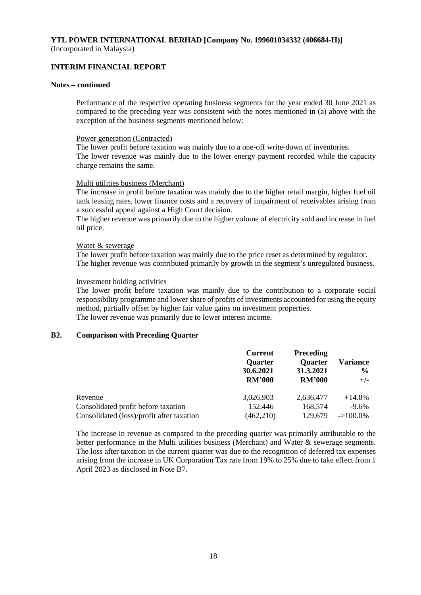# **INTERIM FINANCIAL REPORT**

#### **Notes – continued**

Performance of the respective operating business segments for the year ended 30 June 2021 as compared to the preceding year was consistent with the notes mentioned in (a) above with the exception of the business segments mentioned below:

### Power generation (Contracted)

The lower profit before taxation was mainly due to a one-off write-down of inventories. The lower revenue was mainly due to the lower energy payment recorded while the capacity charge remains the same.

### Multi utilities business (Merchant)

The increase in profit before taxation was mainly due to the higher retail margin, higher fuel oil tank leasing rates, lower finance costs and a recovery of impairment of receivables arising from a successful appeal against a High Court decision.

The higher revenue was primarily due to the higher volume of electricity sold and increase in fuel oil price.

#### Water & sewerage

The lower profit before taxation was mainly due to the price reset as determined by regulator. The higher revenue was contributed primarily by growth in the segment's unregulated business.

#### Investment holding activities

The lower profit before taxation was mainly due to the contribution to a corporate social responsibility programme and lower share of profits of investments accounted for using the equity method, partially offset by higher fair value gains on investment properties. The lower revenue was primarily due to lower interest income.

### **B2. Comparison with Preceding Quarter**

|                                           | <b>Current</b><br><b>Quarter</b><br>30.6.2021<br><b>RM'000</b> | <b>Preceding</b><br><b>Quarter</b><br>31.3.2021<br><b>RM'000</b> | <b>Variance</b><br>$\frac{6}{9}$<br>$+/-$ |
|-------------------------------------------|----------------------------------------------------------------|------------------------------------------------------------------|-------------------------------------------|
| Revenue                                   | 3,026,903                                                      | 2,636,477                                                        | $+14.8%$                                  |
| Consolidated profit before taxation       | 152,446                                                        | 168,574                                                          | $-9.6\%$                                  |
| Consolidated (loss)/profit after taxation | (462, 210)                                                     | 129,679                                                          | $->100.0\%$                               |

The increase in revenue as compared to the preceding quarter was primarily attributable to the better performance in the Multi utilities business (Merchant) and Water & sewerage segments. The loss after taxation in the current quarter was due to the recognition of deferred tax expenses arising from the increase in UK Corporation Tax rate from 19% to 25% due to take effect from 1 April 2023 as disclosed in Note B7.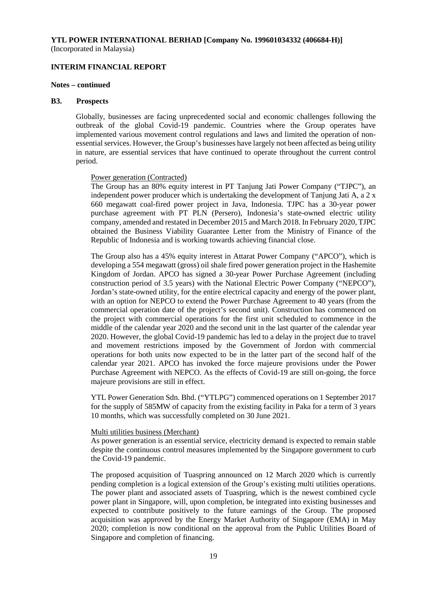#### **INTERIM FINANCIAL REPORT**

#### **Notes – continued**

#### **B3. Prospects**

Globally, businesses are facing unprecedented social and economic challenges following the outbreak of the global Covid-19 pandemic. Countries where the Group operates have implemented various movement control regulations and laws and limited the operation of nonessential services. However, the Group's businesses have largely not been affected as being utility in nature, are essential services that have continued to operate throughout the current control period.

#### Power generation (Contracted)

The Group has an 80% equity interest in PT Tanjung Jati Power Company ("TJPC"), an independent power producer which is undertaking the development of Tanjung Jati A, a 2 x 660 megawatt coal-fired power project in Java, Indonesia. TJPC has a 30-year power purchase agreement with PT PLN (Persero), Indonesia's state-owned electric utility company, amended and restated in December 2015 and March 2018. In February 2020, TJPC obtained the Business Viability Guarantee Letter from the Ministry of Finance of the Republic of Indonesia and is working towards achieving financial close.

The Group also has a 45% equity interest in Attarat Power Company ("APCO"), which is developing a 554 megawatt (gross) oil shale fired power generation project in the Hashemite Kingdom of Jordan. APCO has signed a 30-year Power Purchase Agreement (including construction period of 3.5 years) with the National Electric Power Company ("NEPCO"), Jordan's state-owned utility, for the entire electrical capacity and energy of the power plant, with an option for NEPCO to extend the Power Purchase Agreement to 40 years (from the commercial operation date of the project's second unit). Construction has commenced on the project with commercial operations for the first unit scheduled to commence in the middle of the calendar year 2020 and the second unit in the last quarter of the calendar year 2020. However, the global Covid-19 pandemic has led to a delay in the project due to travel and movement restrictions imposed by the Government of Jordon with commercial operations for both units now expected to be in the latter part of the second half of the calendar year 2021. APCO has invoked the force majeure provisions under the Power Purchase Agreement with NEPCO. As the effects of Covid-19 are still on-going, the force majeure provisions are still in effect.

YTL Power Generation Sdn. Bhd. ("YTLPG") commenced operations on 1 September 2017 for the supply of 585MW of capacity from the existing facility in Paka for a term of 3 years 10 months, which was successfully completed on 30 June 2021.

#### Multi utilities business (Merchant)

As power generation is an essential service, electricity demand is expected to remain stable despite the continuous control measures implemented by the Singapore government to curb the Covid-19 pandemic.

The proposed acquisition of Tuaspring announced on 12 March 2020 which is currently pending completion is a logical extension of the Group's existing multi utilities operations. The power plant and associated assets of Tuaspring, which is the newest combined cycle power plant in Singapore, will, upon completion, be integrated into existing businesses and expected to contribute positively to the future earnings of the Group. The proposed acquisition was approved by the Energy Market Authority of Singapore (EMA) in May 2020; completion is now conditional on the approval from the Public Utilities Board of Singapore and completion of financing.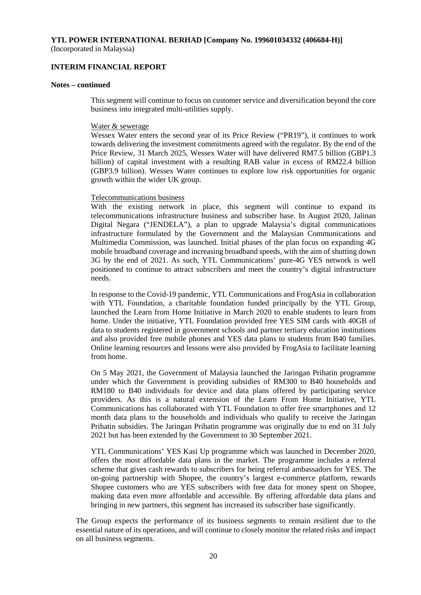**INTERIM FINANCIAL REPORT** 

#### **Notes – continued**

This segment will continue to focus on customer service and diversification beyond the core business into integrated multi-utilities supply.

#### Water & sewerage

Wessex Water enters the second year of its Price Review ("PR19"), it continues to work towards delivering the investment commitments agreed with the regulator. By the end of the Price Review, 31 March 2025, Wessex Water will have delivered RM7.5 billion (GBP1.3 billion) of capital investment with a resulting RAB value in excess of RM22.4 billion (GBP3.9 billion). Wessex Water continues to explore low risk opportunities for organic growth within the wider UK group.

#### Telecommunications business

With the existing network in place, this segment will continue to expand its telecommunications infrastructure business and subscriber base. In August 2020, Jalinan Digital Negara ("JENDELA"), a plan to upgrade Malaysia's digital communications infrastructure formulated by the Government and the Malaysian Communications and Multimedia Commission, was launched. Initial phases of the plan focus on expanding 4G mobile broadband coverage and increasing broadband speeds, with the aim of shutting down 3G by the end of 2021. As such, YTL Communications' pure-4G YES network is well positioned to continue to attract subscribers and meet the country's digital infrastructure needs.

In response to the Covid-19 pandemic, YTL Communications and FrogAsia in collaboration with YTL Foundation, a charitable foundation funded principally by the YTL Group, launched the Learn from Home Initiative in March 2020 to enable students to learn from home. Under the initiative, YTL Foundation provided free YES SIM cards with 40GB of data to students registered in government schools and partner tertiary education institutions and also provided free mobile phones and YES data plans to students from B40 families. Online learning resources and lessons were also provided by FrogAsia to facilitate learning from home.

On 5 May 2021, the Government of Malaysia launched the Jaringan Prihatin programme under which the Government is providing subsidies of RM300 to B40 households and RM180 to B40 individuals for device and data plans offered by participating service providers. As this is a natural extension of the Learn From Home Initiative, YTL Communications has collaborated with YTL Foundation to offer free smartphones and 12 month data plans to the households and individuals who qualify to receive the Jaringan Prihatin subsidies. The Jaringan Prihatin programme was originally due to end on 31 July 2021 but has been extended by the Government to 30 September 2021.

YTL Communications' YES Kasi Up programme which was launched in December 2020, offers the most affordable data plans in the market. The programme includes a referral scheme that gives cash rewards to subscribers for being referral ambassadors for YES. The on-going partnership with Shopee, the country's largest e-commerce platform, rewards Shopee customers who are YES subscribers with free data for money spent on Shopee, making data even more affordable and accessible. By offering affordable data plans and bringing in new partners, this segment has increased its subscriber base significantly.

The Group expects the performance of its business segments to remain resilient due to the essential nature of its operations, and will continue to closely monitor the related risks and impact on all business segments.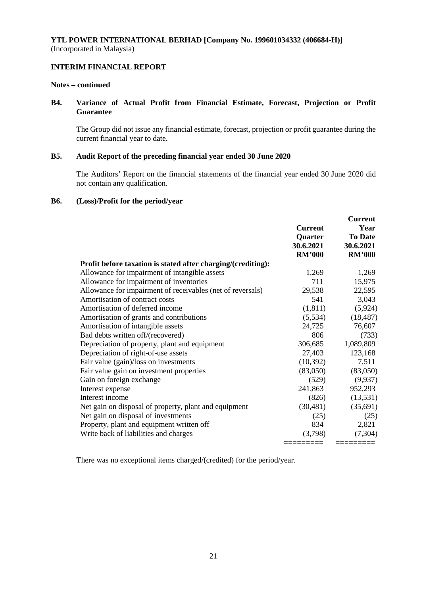### **INTERIM FINANCIAL REPORT**

#### **Notes – continued**

## **B4. Variance of Actual Profit from Financial Estimate, Forecast, Projection or Profit Guarantee**

The Group did not issue any financial estimate, forecast, projection or profit guarantee during the current financial year to date.

### **B5. Audit Report of the preceding financial year ended 30 June 2020**

The Auditors' Report on the financial statements of the financial year ended 30 June 2020 did not contain any qualification.

#### **B6. (Loss)/Profit for the period/year**

|                                                              | <b>Current</b><br>Quarter<br>30.6.2021<br><b>RM'000</b> | <b>Current</b><br>Year<br><b>To Date</b><br>30.6.2021<br><b>RM'000</b> |
|--------------------------------------------------------------|---------------------------------------------------------|------------------------------------------------------------------------|
| Profit before taxation is stated after charging/(crediting): |                                                         |                                                                        |
| Allowance for impairment of intangible assets                | 1,269                                                   | 1,269                                                                  |
| Allowance for impairment of inventories                      | 711                                                     | 15,975                                                                 |
| Allowance for impairment of receivables (net of reversals)   | 29,538                                                  | 22,595                                                                 |
| Amortisation of contract costs                               | 541                                                     | 3,043                                                                  |
| Amortisation of deferred income                              | (1, 811)                                                | (5,924)                                                                |
| Amortisation of grants and contributions                     | (5,534)                                                 | (18, 487)                                                              |
| Amortisation of intangible assets                            | 24,725                                                  | 76,607                                                                 |
| Bad debts written off/(recovered)                            | 806                                                     | (733)                                                                  |
| Depreciation of property, plant and equipment                | 306,685                                                 | 1,089,809                                                              |
| Depreciation of right-of-use assets                          | 27,403                                                  | 123,168                                                                |
| Fair value (gain)/loss on investments                        | (10, 392)                                               | 7,511                                                                  |
| Fair value gain on investment properties                     | (83,050)                                                | (83,050)                                                               |
| Gain on foreign exchange                                     | (529)                                                   | (9,937)                                                                |
| Interest expense                                             | 241,863                                                 | 952,293                                                                |
| Interest income                                              | (826)                                                   | (13, 531)                                                              |
| Net gain on disposal of property, plant and equipment        | (30, 481)                                               | (35,691)                                                               |
| Net gain on disposal of investments                          | (25)                                                    | (25)                                                                   |
| Property, plant and equipment written off                    | 834                                                     | 2,821                                                                  |
| Write back of liabilities and charges                        | (3,798)                                                 | (7, 304)                                                               |
|                                                              | =======                                                 | =========                                                              |

There was no exceptional items charged/(credited) for the period/year.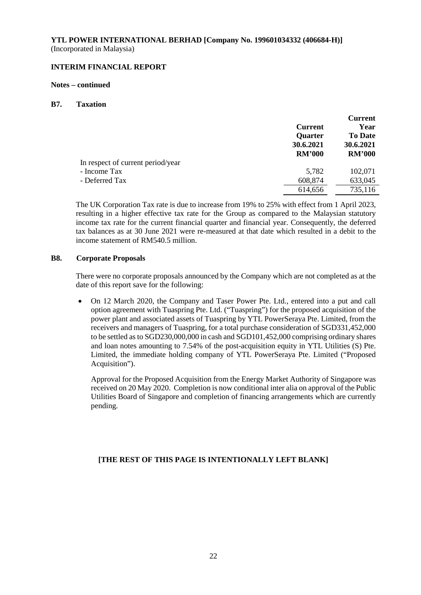# **INTERIM FINANCIAL REPORT**

### **Notes – continued**

### **B7. Taxation**

|                                   |                | <b>Current</b> |
|-----------------------------------|----------------|----------------|
|                                   | <b>Current</b> | Year           |
|                                   | <b>Quarter</b> | <b>To Date</b> |
|                                   | 30.6.2021      | 30.6.2021      |
|                                   | <b>RM'000</b>  | <b>RM'000</b>  |
| In respect of current period/year |                |                |
| - Income Tax                      | 5,782          | 102,071        |
| - Deferred Tax                    | 608,874        | 633,045        |
|                                   | 614,656        | 735,116        |

The UK Corporation Tax rate is due to increase from 19% to 25% with effect from 1 April 2023, resulting in a higher effective tax rate for the Group as compared to the Malaysian statutory income tax rate for the current financial quarter and financial year. Consequently, the deferred tax balances as at 30 June 2021 were re-measured at that date which resulted in a debit to the income statement of RM540.5 million.

### **B8. Corporate Proposals**

There were no corporate proposals announced by the Company which are not completed as at the date of this report save for the following:

• On 12 March 2020, the Company and Taser Power Pte. Ltd., entered into a put and call option agreement with Tuaspring Pte. Ltd. ("Tuaspring") for the proposed acquisition of the power plant and associated assets of Tuaspring by YTL PowerSeraya Pte. Limited, from the receivers and managers of Tuaspring, for a total purchase consideration of SGD331,452,000 to be settled as to SGD230,000,000 in cash and SGD101,452,000 comprising ordinary shares and loan notes amounting to 7.54% of the post-acquisition equity in YTL Utilities (S) Pte. Limited, the immediate holding company of YTL PowerSeraya Pte. Limited ("Proposed Acquisition").

Approval for the Proposed Acquisition from the Energy Market Authority of Singapore was received on 20 May 2020. Completion is now conditional inter alia on approval of the Public Utilities Board of Singapore and completion of financing arrangements which are currently pending.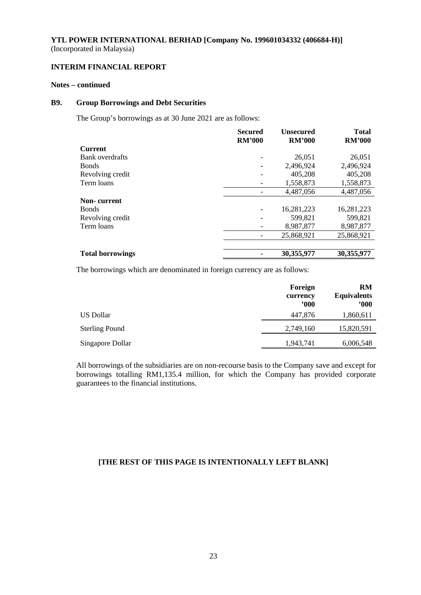### **INTERIM FINANCIAL REPORT**

#### **Notes – continued**

#### **B9. Group Borrowings and Debt Securities**

The Group's borrowings as at 30 June 2021 are as follows:

|                         | <b>Secured</b><br><b>RM'000</b> | <b>Unsecured</b><br><b>RM'000</b> | <b>Total</b><br><b>RM'000</b> |
|-------------------------|---------------------------------|-----------------------------------|-------------------------------|
| Current                 |                                 |                                   |                               |
| Bank overdrafts         |                                 | 26,051                            | 26,051                        |
| Bonds                   |                                 | 2,496,924                         | 2,496,924                     |
| Revolving credit        |                                 | 405,208                           | 405,208                       |
| Term loans              |                                 | 1,558,873                         | 1,558,873                     |
|                         |                                 | 4,487,056                         | 4,487,056                     |
| Non- current            |                                 |                                   |                               |
| Bonds                   |                                 | 16,281,223                        | 16,281,223                    |
| Revolving credit        |                                 | 599,821                           | 599,821                       |
| Term loans              |                                 | 8,987,877                         | 8,987,877                     |
|                         |                                 | 25,868,921                        | 25,868,921                    |
|                         |                                 |                                   |                               |
| <b>Total borrowings</b> |                                 | 30,355,977                        | 30,355,977                    |

The borrowings which are denominated in foreign currency are as follows:

|                       | Foreign<br>currency<br>2000 | RM<br><b>Equivalents</b><br>$900^\circ$ |
|-----------------------|-----------------------------|-----------------------------------------|
| US Dollar             | 447,876                     | 1,860,611                               |
| <b>Sterling Pound</b> | 2,749,160                   | 15,820,591                              |
| Singapore Dollar      | 1,943,741                   | 6,006,548                               |

All borrowings of the subsidiaries are on non-recourse basis to the Company save and except for borrowings totalling RM1,135.4 million, for which the Company has provided corporate guarantees to the financial institutions.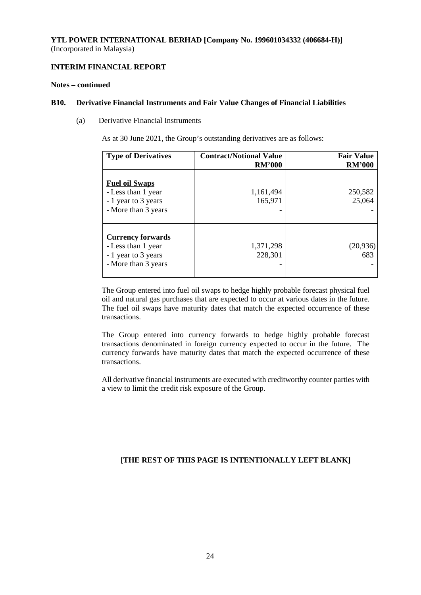## **INTERIM FINANCIAL REPORT**

#### **Notes – continued**

#### **B10. Derivative Financial Instruments and Fair Value Changes of Financial Liabilities**

(a) Derivative Financial Instruments

As at 30 June 2021, the Group's outstanding derivatives are as follows:

| <b>Type of Derivatives</b>                                                                   | <b>Contract/Notional Value</b><br><b>RM'000</b> | <b>Fair Value</b><br><b>RM'000</b> |
|----------------------------------------------------------------------------------------------|-------------------------------------------------|------------------------------------|
| <b>Fuel oil Swaps</b><br>- Less than 1 year<br>- 1 year to 3 years<br>- More than 3 years    | 1,161,494<br>165,971                            | 250,582<br>25,064                  |
| <b>Currency forwards</b><br>- Less than 1 year<br>- 1 year to 3 years<br>- More than 3 years | 1,371,298<br>228,301                            | (20, 936)<br>683                   |

The Group entered into fuel oil swaps to hedge highly probable forecast physical fuel oil and natural gas purchases that are expected to occur at various dates in the future. The fuel oil swaps have maturity dates that match the expected occurrence of these transactions.

The Group entered into currency forwards to hedge highly probable forecast transactions denominated in foreign currency expected to occur in the future. The currency forwards have maturity dates that match the expected occurrence of these transactions.

All derivative financial instruments are executed with creditworthy counter parties with a view to limit the credit risk exposure of the Group.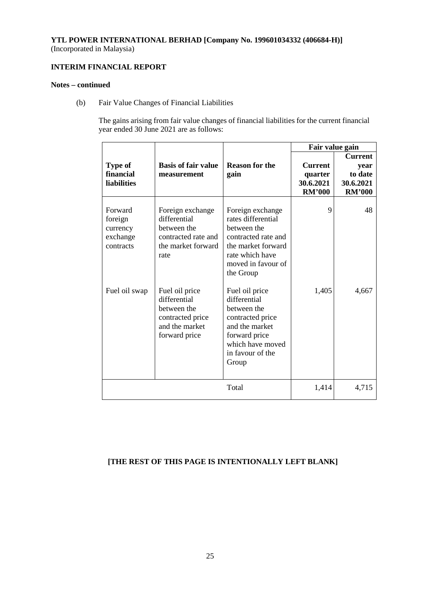# **INTERIM FINANCIAL REPORT**

### **Notes – continued**

(b) Fair Value Changes of Financial Liabilities

The gains arising from fair value changes of financial liabilities for the current financial year ended 30 June 2021 are as follows:

|                                                         |                                                                                                      |                                                                                                                                                          | Fair value gain                                         |                                                                 |
|---------------------------------------------------------|------------------------------------------------------------------------------------------------------|----------------------------------------------------------------------------------------------------------------------------------------------------------|---------------------------------------------------------|-----------------------------------------------------------------|
| <b>Type of</b><br>financial<br><b>liabilities</b>       | <b>Basis of fair value</b><br>measurement                                                            | <b>Reason for the</b><br>gain                                                                                                                            | <b>Current</b><br>quarter<br>30.6.2021<br><b>RM'000</b> | <b>Current</b><br>year<br>to date<br>30.6.2021<br><b>RM'000</b> |
| Forward<br>foreign<br>currency<br>exchange<br>contracts | Foreign exchange<br>differential<br>between the<br>contracted rate and<br>the market forward<br>rate | Foreign exchange<br>rates differential<br>between the<br>contracted rate and<br>the market forward<br>rate which have<br>moved in favour of<br>the Group | 9                                                       | 48                                                              |
| Fuel oil swap                                           | Fuel oil price<br>differential<br>between the<br>contracted price<br>and the market<br>forward price | Fuel oil price<br>differential<br>between the<br>contracted price<br>and the market<br>forward price<br>which have moved<br>in favour of the<br>Group    | 1,405                                                   | 4,667                                                           |
|                                                         |                                                                                                      | Total                                                                                                                                                    | 1,414                                                   | 4,715                                                           |